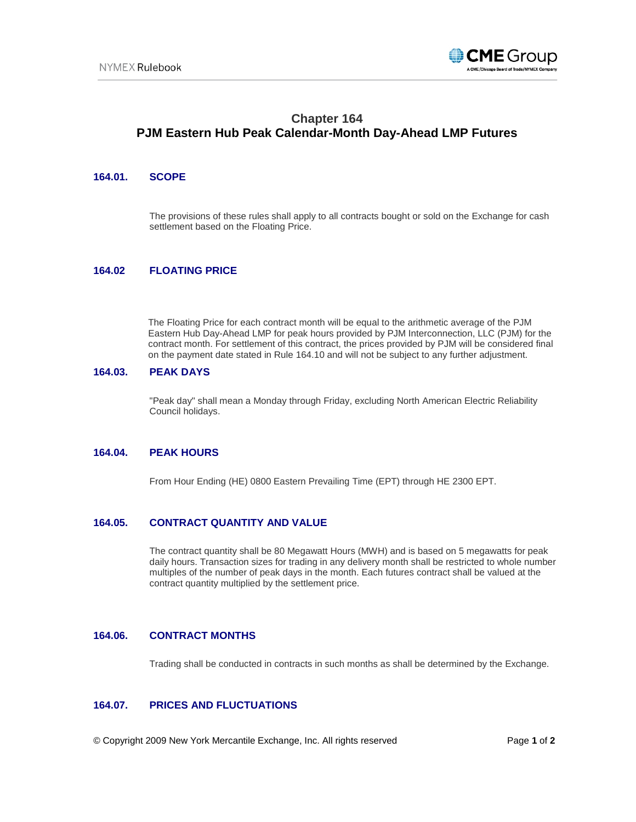

# **Chapter 164 PJM Eastern Hub Peak Calendar-Month Day-Ahead LMP Futures**

### **164.01. SCOPE**

The provisions of these rules shall apply to all contracts bought or sold on the Exchange for cash settlement based on the Floating Price.

#### **164.02 FLOATING PRICE**

The Floating Price for each contract month will be equal to the arithmetic average of the PJM Eastern Hub Day-Ahead LMP for peak hours provided by PJM Interconnection, LLC (PJM) for the contract month. For settlement of this contract, the prices provided by PJM will be considered final on the payment date stated in Rule 164.10 and will not be subject to any further adjustment.

#### **164.03. PEAK DAYS**

"Peak day" shall mean a Monday through Friday, excluding North American Electric Reliability Council holidays.

#### **164.04. PEAK HOURS**

From Hour Ending (HE) 0800 Eastern Prevailing Time (EPT) through HE 2300 EPT.

## **164.05. CONTRACT QUANTITY AND VALUE**

The contract quantity shall be 80 Megawatt Hours (MWH) and is based on 5 megawatts for peak daily hours. Transaction sizes for trading in any delivery month shall be restricted to whole number multiples of the number of peak days in the month. Each futures contract shall be valued at the contract quantity multiplied by the settlement price.

#### **164.06. CONTRACT MONTHS**

Trading shall be conducted in contracts in such months as shall be determined by the Exchange.

## **164.07. PRICES AND FLUCTUATIONS**

© Copyright 2009 New York Mercantile Exchange, Inc. All rights reserved Page **1** of **2**